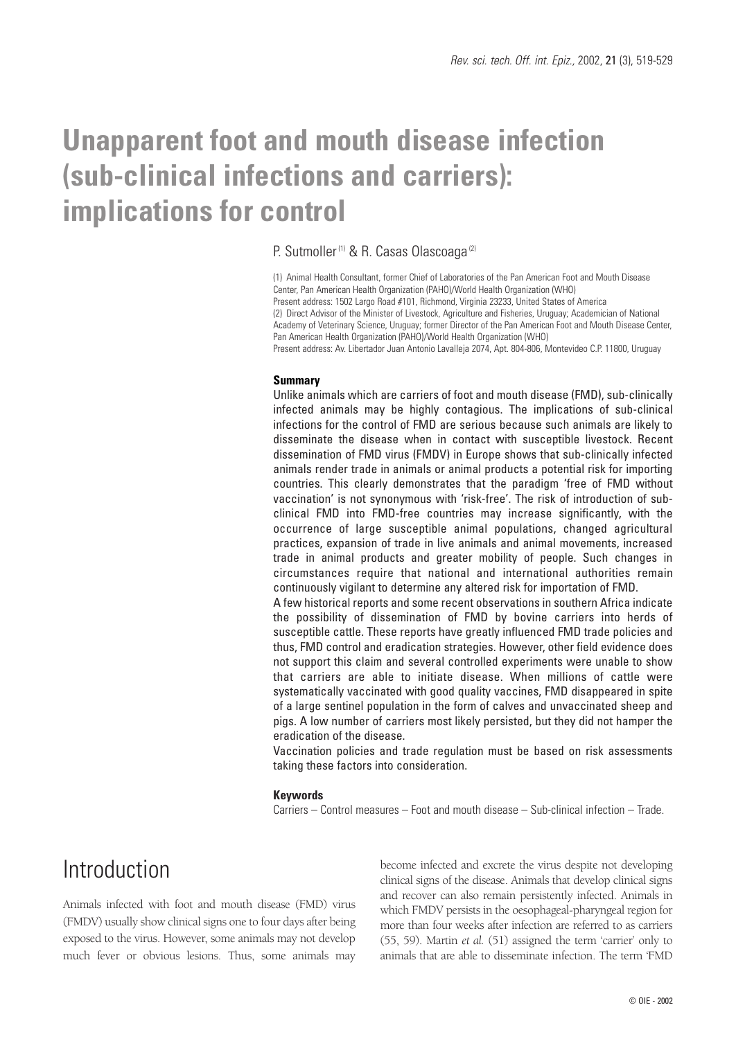# **Unapparent foot and mouth disease infection (sub-clinical infections and carriers): implications for control**

#### P. Sutmoller<sup>(1)</sup> & R. Casas Olascoaga<sup>(2)</sup>

(1) Animal Health Consultant, former Chief of Laboratories of the Pan American Foot and Mouth Disease Center, Pan American Health Organization (PAHO)/World Health Organization (WHO) Present address: 1502 Largo Road #101, Richmond, Virginia 23233, United States of America (2) Direct Advisor of the Minister of Livestock, Agriculture and Fisheries, Uruguay; Academician of National Academy of Veterinary Science, Uruguay; former Director of the Pan American Foot and Mouth Disease Center, Pan American Health Organization (PAHO)/World Health Organization (WHO) Present address: Av. Libertador Juan Antonio Lavalleja 2074, Apt. 804-806, Montevideo C.P. 11800, Uruguay

#### **Summary**

Unlike animals which are carriers of foot and mouth disease (FMD), sub-clinically infected animals may be highly contagious. The implications of sub-clinical infections for the control of FMD are serious because such animals are likely to disseminate the disease when in contact with susceptible livestock. Recent dissemination of FMD virus (FMDV) in Europe shows that sub-clinically infected animals render trade in animals or animal products a potential risk for importing countries. This clearly demonstrates that the paradigm 'free of FMD without vaccination' is not synonymous with 'risk-free'. The risk of introduction of subclinical FMD into FMD-free countries may increase significantly, with the occurrence of large susceptible animal populations, changed agricultural practices, expansion of trade in live animals and animal movements, increased trade in animal products and greater mobility of people. Such changes in circumstances require that national and international authorities remain continuously vigilant to determine any altered risk for importation of FMD.

A few historical reports and some recent observations in southern Africa indicate the possibility of dissemination of FMD by bovine carriers into herds of susceptible cattle. These reports have greatly influenced FMD trade policies and thus, FMD control and eradication strategies. However, other field evidence does not support this claim and several controlled experiments were unable to show that carriers are able to initiate disease. When millions of cattle were systematically vaccinated with good quality vaccines, FMD disappeared in spite of a large sentinel population in the form of calves and unvaccinated sheep and pigs. A low number of carriers most likely persisted, but they did not hamper the eradication of the disease.

Vaccination policies and trade regulation must be based on risk assessments taking these factors into consideration.

#### **Keywords**

Carriers – Control measures – Foot and mouth disease – Sub-clinical infection – Trade.

## Introduction

Animals infected with foot and mouth disease (FMD) virus (FMDV) usually show clinical signs one to four days after being exposed to the virus. However, some animals may not develop much fever or obvious lesions. Thus, some animals may become infected and excrete the virus despite not developing clinical signs of the disease. Animals that develop clinical signs and recover can also remain persistently infected. Animals in which FMDV persists in the oesophageal-pharyngeal region for more than four weeks after infection are referred to as carriers (55, 59). Martin *et al.* (51) assigned the term 'carrier' only to animals that are able to disseminate infection. The term 'FMD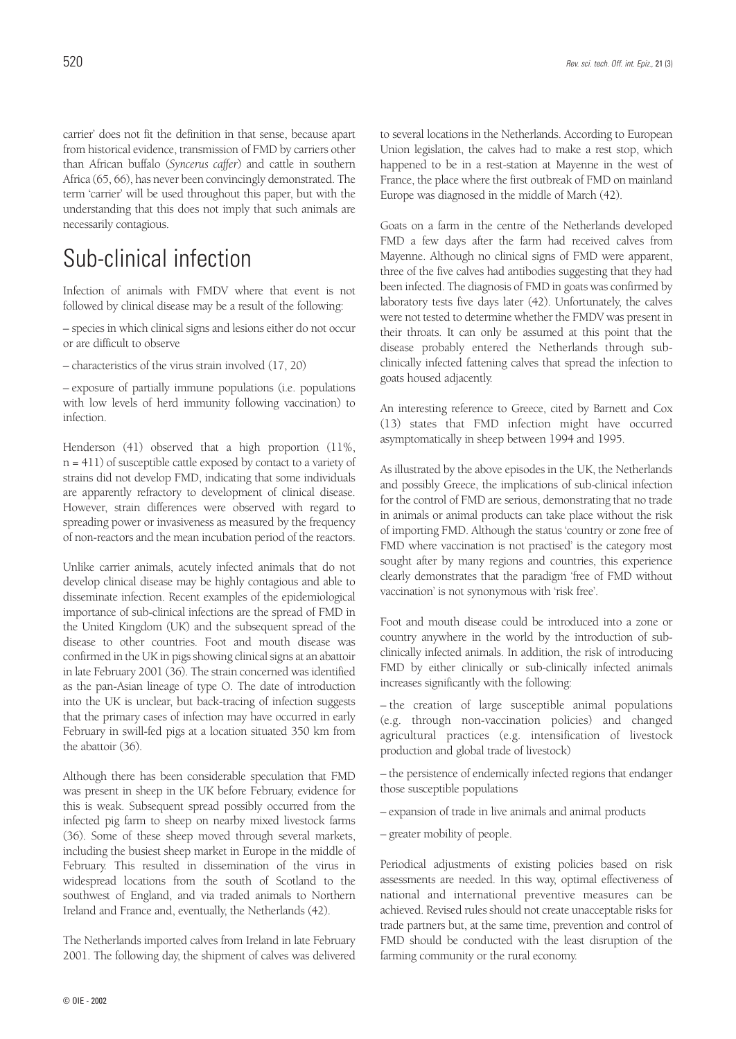than African buffalo (*Syncerus caffer*) and cattle in southern Africa (65, 66), has never been convincingly demonstrated. The term 'carrier' will be used throughout this paper, but with the understanding that this does not imply that such animals are necessarily contagious.

## Sub-clinical infection

Infection of animals with FMDV where that event is not followed by clinical disease may be a result of the following:

– species in which clinical signs and lesions either do not occur or are difficult to observe

– characteristics of the virus strain involved (17, 20)

– exposure of partially immune populations (i.e. populations with low levels of herd immunity following vaccination) to infection.

Henderson (41) observed that a high proportion (11%, n = 411) of susceptible cattle exposed by contact to a variety of strains did not develop FMD, indicating that some individuals are apparently refractory to development of clinical disease. However, strain differences were observed with regard to spreading power or invasiveness as measured by the frequency of non-reactors and the mean incubation period of the reactors.

Unlike carrier animals, acutely infected animals that do not develop clinical disease may be highly contagious and able to disseminate infection. Recent examples of the epidemiological importance of sub-clinical infections are the spread of FMD in the United Kingdom (UK) and the subsequent spread of the disease to other countries. Foot and mouth disease was confirmed in the UK in pigs showing clinical signs at an abattoir in late February 2001 (36). The strain concerned was identified as the pan-Asian lineage of type O. The date of introduction into the UK is unclear, but back-tracing of infection suggests that the primary cases of infection may have occurred in early February in swill-fed pigs at a location situated 350 km from the abattoir (36).

Although there has been considerable speculation that FMD was present in sheep in the UK before February, evidence for this is weak. Subsequent spread possibly occurred from the infected pig farm to sheep on nearby mixed livestock farms (36). Some of these sheep moved through several markets, including the busiest sheep market in Europe in the middle of February. This resulted in dissemination of the virus in widespread locations from the south of Scotland to the southwest of England, and via traded animals to Northern Ireland and France and, eventually, the Netherlands (42).

The Netherlands imported calves from Ireland in late February 2001. The following day, the shipment of calves was delivered to several locations in the Netherlands. According to European Union legislation, the calves had to make a rest stop, which happened to be in a rest-station at Mayenne in the west of France, the place where the first outbreak of FMD on mainland Europe was diagnosed in the middle of March (42).

Goats on a farm in the centre of the Netherlands developed FMD a few days after the farm had received calves from Mayenne. Although no clinical signs of FMD were apparent, three of the five calves had antibodies suggesting that they had been infected. The diagnosis of FMD in goats was confirmed by laboratory tests five days later (42). Unfortunately, the calves were not tested to determine whether the FMDV was present in their throats. It can only be assumed at this point that the disease probably entered the Netherlands through subclinically infected fattening calves that spread the infection to goats housed adjacently.

An interesting reference to Greece, cited by Barnett and Cox (13) states that FMD infection might have occurred asymptomatically in sheep between 1994 and 1995.

As illustrated by the above episodes in the UK, the Netherlands and possibly Greece, the implications of sub-clinical infection for the control of FMD are serious, demonstrating that no trade in animals or animal products can take place without the risk of importing FMD. Although the status 'country or zone free of FMD where vaccination is not practised' is the category most sought after by many regions and countries, this experience clearly demonstrates that the paradigm 'free of FMD without vaccination' is not synonymous with 'risk free'.

Foot and mouth disease could be introduced into a zone or country anywhere in the world by the introduction of subclinically infected animals. In addition, the risk of introducing FMD by either clinically or sub-clinically infected animals increases significantly with the following:

– the creation of large susceptible animal populations (e.g. through non-vaccination policies) and changed agricultural practices (e.g. intensification of livestock production and global trade of livestock)

– the persistence of endemically infected regions that endanger those susceptible populations

– expansion of trade in live animals and animal products

– greater mobility of people.

Periodical adjustments of existing policies based on risk assessments are needed. In this way, optimal effectiveness of national and international preventive measures can be achieved. Revised rules should not create unacceptable risks for trade partners but, at the same time, prevention and control of FMD should be conducted with the least disruption of the farming community or the rural economy.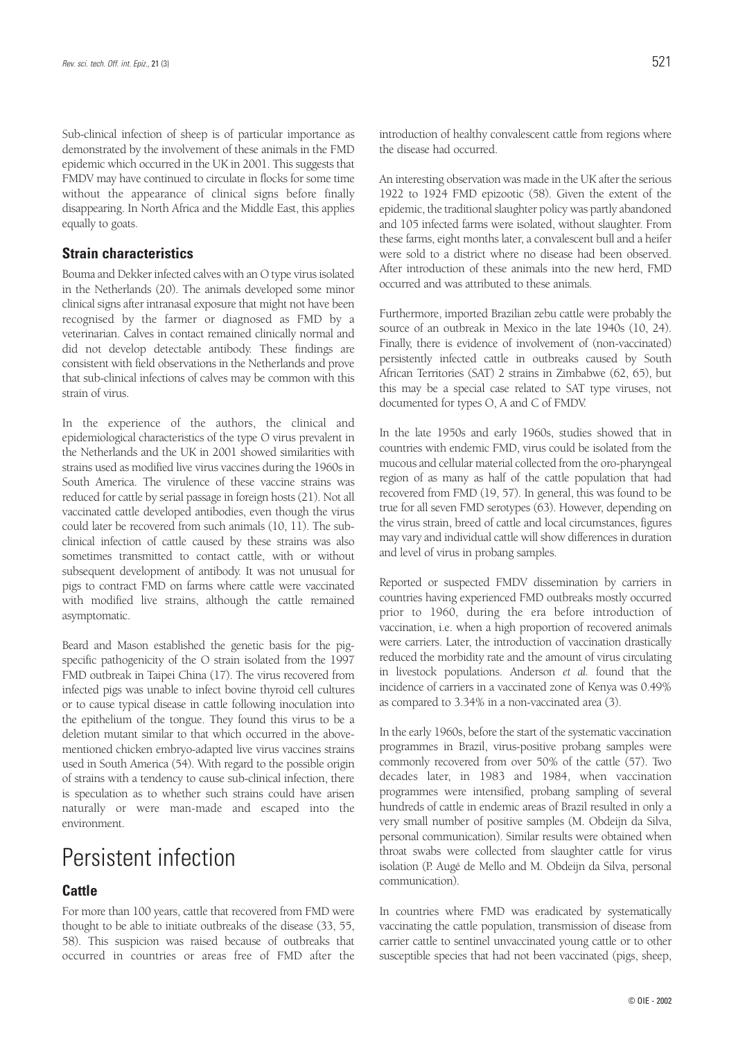Sub-clinical infection of sheep is of particular importance as demonstrated by the involvement of these animals in the FMD epidemic which occurred in the UK in 2001. This suggests that FMDV may have continued to circulate in flocks for some time without the appearance of clinical signs before finally disappearing. In North Africa and the Middle East, this applies equally to goats.

### **Strain characteristics**

Bouma and Dekker infected calves with an O type virus isolated in the Netherlands (20). The animals developed some minor clinical signs after intranasal exposure that might not have been recognised by the farmer or diagnosed as FMD by a veterinarian. Calves in contact remained clinically normal and did not develop detectable antibody. These findings are consistent with field observations in the Netherlands and prove that sub-clinical infections of calves may be common with this strain of virus.

In the experience of the authors, the clinical and epidemiological characteristics of the type O virus prevalent in the Netherlands and the UK in 2001 showed similarities with strains used as modified live virus vaccines during the 1960s in South America. The virulence of these vaccine strains was reduced for cattle by serial passage in foreign hosts (21). Not all vaccinated cattle developed antibodies, even though the virus could later be recovered from such animals (10, 11). The subclinical infection of cattle caused by these strains was also sometimes transmitted to contact cattle, with or without subsequent development of antibody. It was not unusual for pigs to contract FMD on farms where cattle were vaccinated with modified live strains, although the cattle remained asymptomatic.

Beard and Mason established the genetic basis for the pigspecific pathogenicity of the O strain isolated from the 1997 FMD outbreak in Taipei China (17). The virus recovered from infected pigs was unable to infect bovine thyroid cell cultures or to cause typical disease in cattle following inoculation into the epithelium of the tongue. They found this virus to be a deletion mutant similar to that which occurred in the abovementioned chicken embryo-adapted live virus vaccines strains used in South America (54). With regard to the possible origin of strains with a tendency to cause sub-clinical infection, there is speculation as to whether such strains could have arisen naturally or were man-made and escaped into the environment.

## Persistent infection

### **Cattle**

For more than 100 years, cattle that recovered from FMD were thought to be able to initiate outbreaks of the disease (33, 55, 58). This suspicion was raised because of outbreaks that occurred in countries or areas free of FMD after the introduction of healthy convalescent cattle from regions where the disease had occurred.

An interesting observation was made in the UK after the serious 1922 to 1924 FMD epizootic (58). Given the extent of the epidemic, the traditional slaughter policy was partly abandoned and 105 infected farms were isolated, without slaughter. From these farms, eight months later, a convalescent bull and a heifer were sold to a district where no disease had been observed. After introduction of these animals into the new herd, FMD occurred and was attributed to these animals.

Furthermore, imported Brazilian zebu cattle were probably the source of an outbreak in Mexico in the late 1940s (10, 24). Finally, there is evidence of involvement of (non-vaccinated) persistently infected cattle in outbreaks caused by South African Territories (SAT) 2 strains in Zimbabwe (62, 65), but this may be a special case related to SAT type viruses, not documented for types O, A and C of FMDV.

In the late 1950s and early 1960s, studies showed that in countries with endemic FMD, virus could be isolated from the mucous and cellular material collected from the oro-pharyngeal region of as many as half of the cattle population that had recovered from FMD (19, 57). In general, this was found to be true for all seven FMD serotypes (63). However, depending on the virus strain, breed of cattle and local circumstances, figures may vary and individual cattle will show differences in duration and level of virus in probang samples.

Reported or suspected FMDV dissemination by carriers in countries having experienced FMD outbreaks mostly occurred prior to 1960, during the era before introduction of vaccination, i.e. when a high proportion of recovered animals were carriers. Later, the introduction of vaccination drastically reduced the morbidity rate and the amount of virus circulating in livestock populations. Anderson *et al.* found that the incidence of carriers in a vaccinated zone of Kenya was 0.49% as compared to 3.34% in a non-vaccinated area (3).

In the early 1960s, before the start of the systematic vaccination programmes in Brazil, virus-positive probang samples were commonly recovered from over 50% of the cattle (57). Two decades later, in 1983 and 1984, when vaccination programmes were intensified, probang sampling of several hundreds of cattle in endemic areas of Brazil resulted in only a very small number of positive samples (M. Obdeijn da Silva, personal communication). Similar results were obtained when throat swabs were collected from slaughter cattle for virus isolation (P. Augé de Mello and M. Obdeijn da Silva, personal communication).

In countries where FMD was eradicated by systematically vaccinating the cattle population, transmission of disease from carrier cattle to sentinel unvaccinated young cattle or to other susceptible species that had not been vaccinated (pigs, sheep,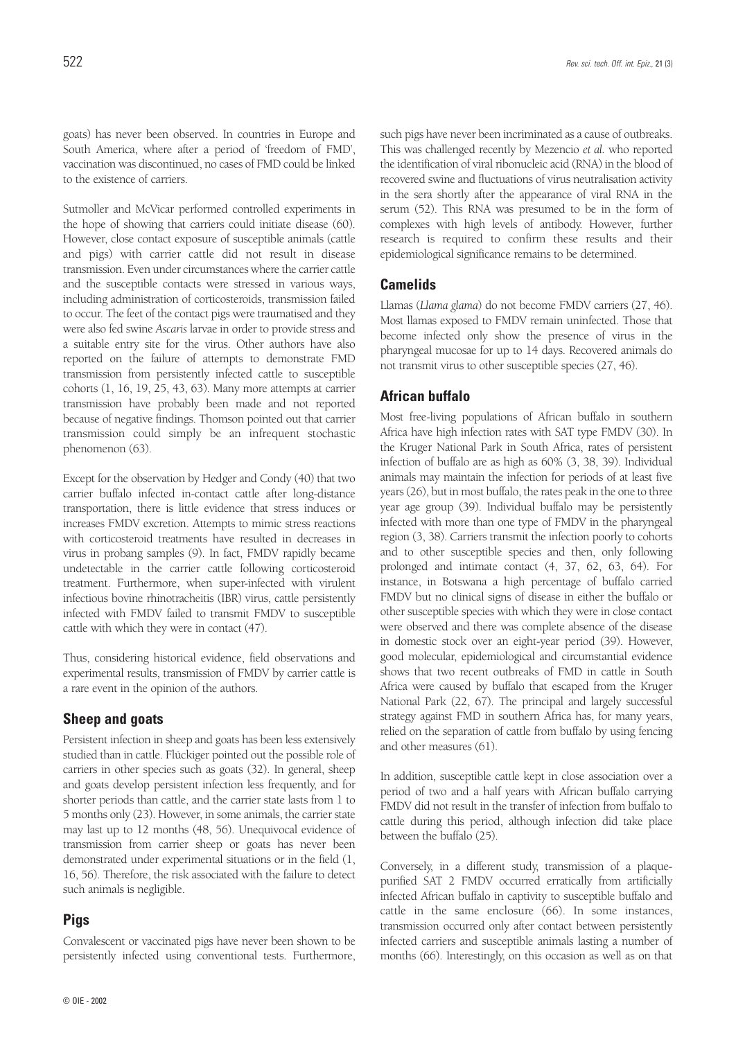Sutmoller and McVicar performed controlled experiments in the hope of showing that carriers could initiate disease (60). However, close contact exposure of susceptible animals (cattle and pigs) with carrier cattle did not result in disease transmission. Even under circumstances where the carrier cattle and the susceptible contacts were stressed in various ways, including administration of corticosteroids, transmission failed to occur. The feet of the contact pigs were traumatised and they were also fed swine *Ascaris* larvae in order to provide stress and a suitable entry site for the virus. Other authors have also reported on the failure of attempts to demonstrate FMD transmission from persistently infected cattle to susceptible cohorts (1, 16, 19, 25, 43, 63). Many more attempts at carrier transmission have probably been made and not reported because of negative findings. Thomson pointed out that carrier transmission could simply be an infrequent stochastic phenomenon (63).

Except for the observation by Hedger and Condy (40) that two carrier buffalo infected in-contact cattle after long-distance transportation, there is little evidence that stress induces or increases FMDV excretion. Attempts to mimic stress reactions with corticosteroid treatments have resulted in decreases in virus in probang samples (9). In fact, FMDV rapidly became undetectable in the carrier cattle following corticosteroid treatment. Furthermore, when super-infected with virulent infectious bovine rhinotracheitis (IBR) virus, cattle persistently infected with FMDV failed to transmit FMDV to susceptible cattle with which they were in contact (47).

Thus, considering historical evidence, field observations and experimental results, transmission of FMDV by carrier cattle is a rare event in the opinion of the authors.

## **Sheep and goats**

Persistent infection in sheep and goats has been less extensively studied than in cattle. Flückiger pointed out the possible role of carriers in other species such as goats (32). In general, sheep and goats develop persistent infection less frequently, and for shorter periods than cattle, and the carrier state lasts from 1 to 5 months only (23). However, in some animals, the carrier state may last up to 12 months (48, 56). Unequivocal evidence of transmission from carrier sheep or goats has never been demonstrated under experimental situations or in the field (1, 16, 56). Therefore, the risk associated with the failure to detect such animals is negligible.

## **Pigs**

Convalescent or vaccinated pigs have never been shown to be persistently infected using conventional tests. Furthermore, such pigs have never been incriminated as a cause of outbreaks. This was challenged recently by Mezencio *et al.* who reported the identification of viral ribonucleic acid (RNA) in the blood of recovered swine and fluctuations of virus neutralisation activity in the sera shortly after the appearance of viral RNA in the serum (52). This RNA was presumed to be in the form of complexes with high levels of antibody. However, further research is required to confirm these results and their epidemiological significance remains to be determined.

### **Camelids**

Llamas (*Llama glama*) do not become FMDV carriers (27, 46). Most llamas exposed to FMDV remain uninfected. Those that become infected only show the presence of virus in the pharyngeal mucosae for up to 14 days. Recovered animals do not transmit virus to other susceptible species (27, 46).

### **African buffalo**

Most free-living populations of African buffalo in southern Africa have high infection rates with SAT type FMDV (30). In the Kruger National Park in South Africa, rates of persistent infection of buffalo are as high as 60% (3, 38, 39). Individual animals may maintain the infection for periods of at least five years (26), but in most buffalo, the rates peak in the one to three year age group (39). Individual buffalo may be persistently infected with more than one type of FMDV in the pharyngeal region (3, 38). Carriers transmit the infection poorly to cohorts and to other susceptible species and then, only following prolonged and intimate contact (4, 37, 62, 63, 64). For instance, in Botswana a high percentage of buffalo carried FMDV but no clinical signs of disease in either the buffalo or other susceptible species with which they were in close contact were observed and there was complete absence of the disease in domestic stock over an eight-year period (39). However, good molecular, epidemiological and circumstantial evidence shows that two recent outbreaks of FMD in cattle in South Africa were caused by buffalo that escaped from the Kruger National Park (22, 67). The principal and largely successful strategy against FMD in southern Africa has, for many years, relied on the separation of cattle from buffalo by using fencing and other measures (61).

In addition, susceptible cattle kept in close association over a period of two and a half years with African buffalo carrying FMDV did not result in the transfer of infection from buffalo to cattle during this period, although infection did take place between the buffalo (25).

Conversely, in a different study, transmission of a plaquepurified SAT 2 FMDV occurred erratically from artificially infected African buffalo in captivity to susceptible buffalo and cattle in the same enclosure (66). In some instances, transmission occurred only after contact between persistently infected carriers and susceptible animals lasting a number of months (66). Interestingly, on this occasion as well as on that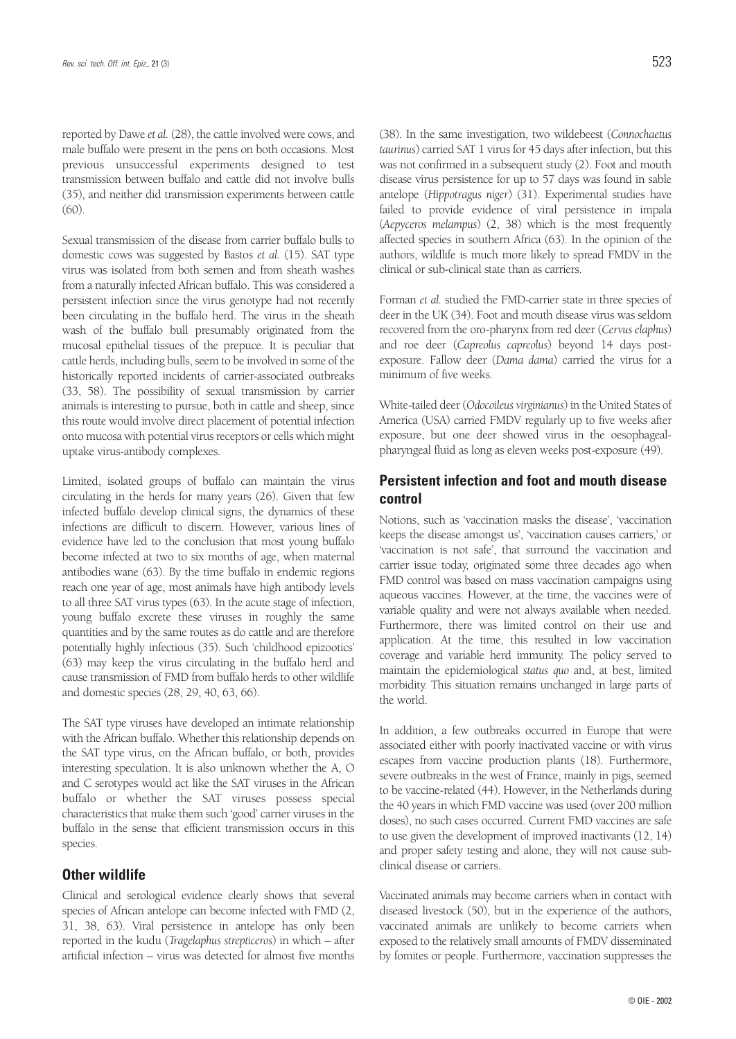reported by Dawe *et al.* (28), the cattle involved were cows, and male buffalo were present in the pens on both occasions. Most previous unsuccessful experiments designed to test transmission between buffalo and cattle did not involve bulls (35), and neither did transmission experiments between cattle (60).

Sexual transmission of the disease from carrier buffalo bulls to domestic cows was suggested by Bastos *et al.* (15). SAT type virus was isolated from both semen and from sheath washes from a naturally infected African buffalo. This was considered a persistent infection since the virus genotype had not recently been circulating in the buffalo herd. The virus in the sheath wash of the buffalo bull presumably originated from the mucosal epithelial tissues of the prepuce. It is peculiar that cattle herds, including bulls, seem to be involved in some of the historically reported incidents of carrier-associated outbreaks (33, 58). The possibility of sexual transmission by carrier animals is interesting to pursue, both in cattle and sheep, since this route would involve direct placement of potential infection onto mucosa with potential virus receptors or cells which might uptake virus-antibody complexes.

Limited, isolated groups of buffalo can maintain the virus circulating in the herds for many years (26). Given that few infected buffalo develop clinical signs, the dynamics of these infections are difficult to discern. However, various lines of evidence have led to the conclusion that most young buffalo become infected at two to six months of age, when maternal antibodies wane (63). By the time buffalo in endemic regions reach one year of age, most animals have high antibody levels to all three SAT virus types (63). In the acute stage of infection, young buffalo excrete these viruses in roughly the same quantities and by the same routes as do cattle and are therefore potentially highly infectious (35). Such 'childhood epizootics' (63) may keep the virus circulating in the buffalo herd and cause transmission of FMD from buffalo herds to other wildlife and domestic species (28, 29, 40, 63, 66).

The SAT type viruses have developed an intimate relationship with the African buffalo. Whether this relationship depends on the SAT type virus, on the African buffalo, or both, provides interesting speculation. It is also unknown whether the A, O and C serotypes would act like the SAT viruses in the African buffalo or whether the SAT viruses possess special characteristics that make them such 'good' carrier viruses in the buffalo in the sense that efficient transmission occurs in this species.

#### **Other wildlife**

Clinical and serological evidence clearly shows that several species of African antelope can become infected with FMD (2, 31, 38, 63). Viral persistence in antelope has only been reported in the kudu (*Tragelaphus strepticeros*) in which – after artificial infection – virus was detected for almost five months (38). In the same investigation, two wildebeest (*Connochaetus taurinus*) carried SAT 1 virus for 45 days after infection, but this was not confirmed in a subsequent study (2). Foot and mouth disease virus persistence for up to 57 days was found in sable antelope (*Hippotragus niger*) (31). Experimental studies have failed to provide evidence of viral persistence in impala (*Aepyceros melampus*) (2, 38) which is the most frequently affected species in southern Africa (63). In the opinion of the authors, wildlife is much more likely to spread FMDV in the clinical or sub-clinical state than as carriers.

Forman *et al.* studied the FMD-carrier state in three species of deer in the UK (34). Foot and mouth disease virus was seldom recovered from the oro-pharynx from red deer (*Cervus elaphus*) and roe deer (*Capreolus capreolus*) beyond 14 days postexposure. Fallow deer (*Dama dama*) carried the virus for a minimum of five weeks.

White-tailed deer (*Odocoileus virginianus*) in the United States of America (USA) carried FMDV regularly up to five weeks after exposure, but one deer showed virus in the oesophagealpharyngeal fluid as long as eleven weeks post-exposure (49).

### **Persistent infection and foot and mouth disease control**

Notions, such as 'vaccination masks the disease', 'vaccination keeps the disease amongst us', 'vaccination causes carriers,' or 'vaccination is not safe', that surround the vaccination and carrier issue today, originated some three decades ago when FMD control was based on mass vaccination campaigns using aqueous vaccines. However, at the time, the vaccines were of variable quality and were not always available when needed. Furthermore, there was limited control on their use and application. At the time, this resulted in low vaccination coverage and variable herd immunity. The policy served to maintain the epidemiological *status quo* and, at best, limited morbidity. This situation remains unchanged in large parts of the world.

In addition, a few outbreaks occurred in Europe that were associated either with poorly inactivated vaccine or with virus escapes from vaccine production plants (18). Furthermore, severe outbreaks in the west of France, mainly in pigs, seemed to be vaccine-related (44). However, in the Netherlands during the 40 years in which FMD vaccine was used (over 200 million doses), no such cases occurred. Current FMD vaccines are safe to use given the development of improved inactivants (12, 14) and proper safety testing and alone, they will not cause subclinical disease or carriers.

Vaccinated animals may become carriers when in contact with diseased livestock (50), but in the experience of the authors, vaccinated animals are unlikely to become carriers when exposed to the relatively small amounts of FMDV disseminated by fomites or people. Furthermore, vaccination suppresses the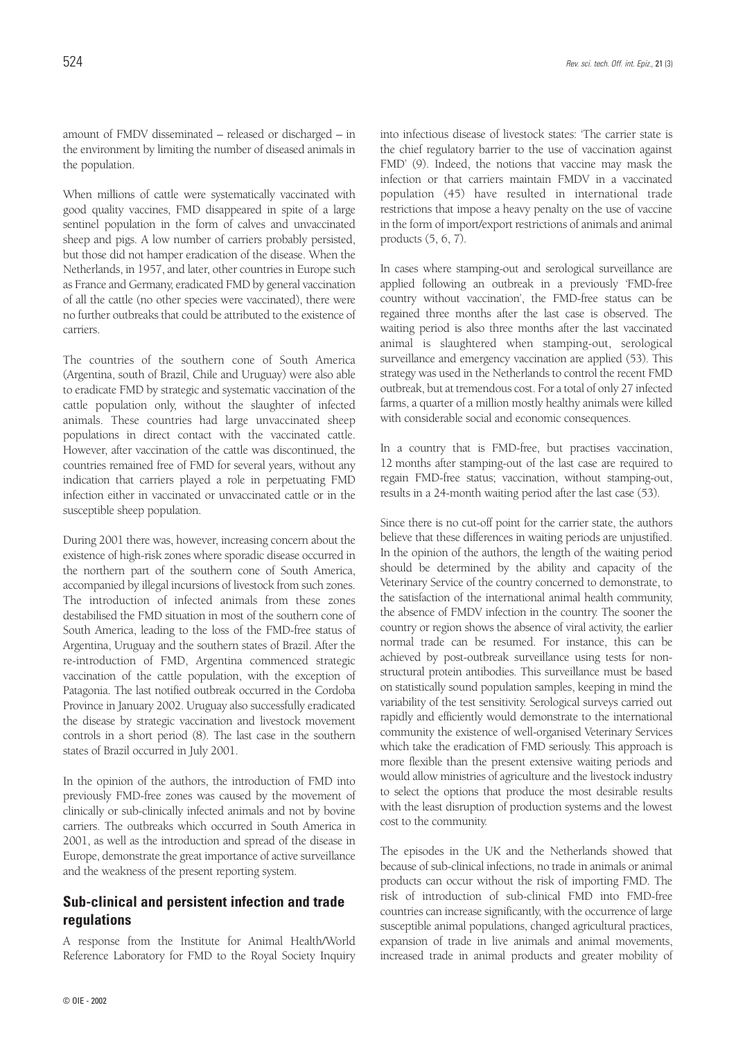When millions of cattle were systematically vaccinated with good quality vaccines, FMD disappeared in spite of a large sentinel population in the form of calves and unvaccinated sheep and pigs. A low number of carriers probably persisted, but those did not hamper eradication of the disease. When the Netherlands, in 1957, and later, other countries in Europe such as France and Germany, eradicated FMD by general vaccination of all the cattle (no other species were vaccinated), there were no further outbreaks that could be attributed to the existence of carriers.

The countries of the southern cone of South America (Argentina, south of Brazil, Chile and Uruguay) were also able to eradicate FMD by strategic and systematic vaccination of the cattle population only, without the slaughter of infected animals. These countries had large unvaccinated sheep populations in direct contact with the vaccinated cattle. However, after vaccination of the cattle was discontinued, the countries remained free of FMD for several years, without any indication that carriers played a role in perpetuating FMD infection either in vaccinated or unvaccinated cattle or in the susceptible sheep population.

During 2001 there was, however, increasing concern about the existence of high-risk zones where sporadic disease occurred in the northern part of the southern cone of South America, accompanied by illegal incursions of livestock from such zones. The introduction of infected animals from these zones destabilised the FMD situation in most of the southern cone of South America, leading to the loss of the FMD-free status of Argentina, Uruguay and the southern states of Brazil. After the re-introduction of FMD, Argentina commenced strategic vaccination of the cattle population, with the exception of Patagonia. The last notified outbreak occurred in the Cordoba Province in January 2002. Uruguay also successfully eradicated the disease by strategic vaccination and livestock movement controls in a short period (8). The last case in the southern states of Brazil occurred in July 2001.

In the opinion of the authors, the introduction of FMD into previously FMD-free zones was caused by the movement of clinically or sub-clinically infected animals and not by bovine carriers. The outbreaks which occurred in South America in 2001, as well as the introduction and spread of the disease in Europe, demonstrate the great importance of active surveillance and the weakness of the present reporting system.

## **Sub-clinical and persistent infection and trade regulations**

A response from the Institute for Animal Health/World Reference Laboratory for FMD to the Royal Society Inquiry into infectious disease of livestock states: 'The carrier state is the chief regulatory barrier to the use of vaccination against FMD' (9). Indeed, the notions that vaccine may mask the infection or that carriers maintain FMDV in a vaccinated population (45) have resulted in international trade restrictions that impose a heavy penalty on the use of vaccine in the form of import/export restrictions of animals and animal products (5, 6, 7).

In cases where stamping-out and serological surveillance are applied following an outbreak in a previously 'FMD-free country without vaccination', the FMD-free status can be regained three months after the last case is observed. The waiting period is also three months after the last vaccinated animal is slaughtered when stamping-out, serological surveillance and emergency vaccination are applied (53). This strategy was used in the Netherlands to control the recent FMD outbreak, but at tremendous cost. For a total of only 27 infected farms, a quarter of a million mostly healthy animals were killed with considerable social and economic consequences.

In a country that is FMD-free, but practises vaccination, 12 months after stamping-out of the last case are required to regain FMD-free status; vaccination, without stamping-out, results in a 24-month waiting period after the last case (53).

Since there is no cut-off point for the carrier state, the authors believe that these differences in waiting periods are unjustified. In the opinion of the authors, the length of the waiting period should be determined by the ability and capacity of the Veterinary Service of the country concerned to demonstrate, to the satisfaction of the international animal health community, the absence of FMDV infection in the country. The sooner the country or region shows the absence of viral activity, the earlier normal trade can be resumed. For instance, this can be achieved by post-outbreak surveillance using tests for nonstructural protein antibodies. This surveillance must be based on statistically sound population samples, keeping in mind the variability of the test sensitivity. Serological surveys carried out rapidly and efficiently would demonstrate to the international community the existence of well-organised Veterinary Services which take the eradication of FMD seriously. This approach is more flexible than the present extensive waiting periods and would allow ministries of agriculture and the livestock industry to select the options that produce the most desirable results with the least disruption of production systems and the lowest cost to the community.

The episodes in the UK and the Netherlands showed that because of sub-clinical infections, no trade in animals or animal products can occur without the risk of importing FMD. The risk of introduction of sub-clinical FMD into FMD-free countries can increase significantly, with the occurrence of large susceptible animal populations, changed agricultural practices, expansion of trade in live animals and animal movements, increased trade in animal products and greater mobility of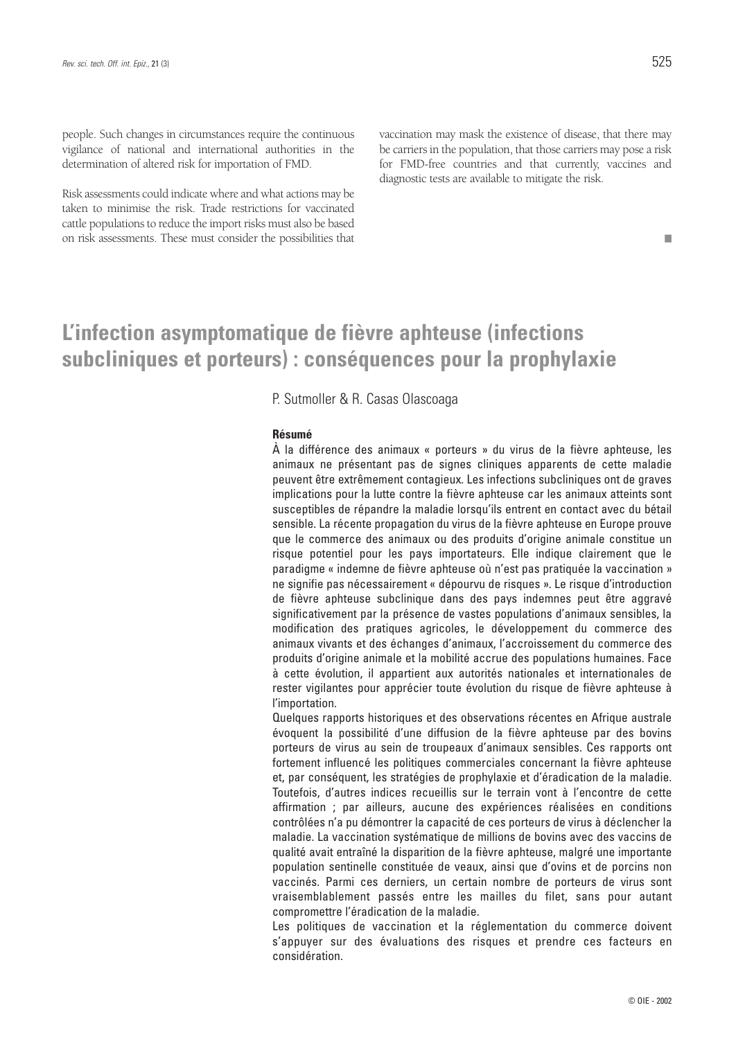people. Such changes in circumstances require the continuous vigilance of national and international authorities in the determination of altered risk for importation of FMD.

Risk assessments could indicate where and what actions may be taken to minimise the risk. Trade restrictions for vaccinated cattle populations to reduce the import risks must also be based on risk assessments. These must consider the possibilities that vaccination may mask the existence of disease, that there may be carriers in the population, that those carriers may pose a risk for FMD-free countries and that currently, vaccines and diagnostic tests are available to mitigate the risk.

#### ■

## **L'infection asymptomatique de fièvre aphteuse (infections subcliniques et porteurs) : conséquences pour la prophylaxie**

P. Sutmoller & R. Casas Olascoaga

#### **Résumé**

À la différence des animaux « porteurs » du virus de la fièvre aphteuse, les animaux ne présentant pas de signes cliniques apparents de cette maladie peuvent être extrêmement contagieux. Les infections subcliniques ont de graves implications pour la lutte contre la fièvre aphteuse car les animaux atteints sont susceptibles de répandre la maladie lorsqu'ils entrent en contact avec du bétail sensible. La récente propagation du virus de la fièvre aphteuse en Europe prouve que le commerce des animaux ou des produits d'origine animale constitue un risque potentiel pour les pays importateurs. Elle indique clairement que le paradigme « indemne de fièvre aphteuse où n'est pas pratiquée la vaccination » ne signifie pas nécessairement « dépourvu de risques ». Le risque d'introduction de fièvre aphteuse subclinique dans des pays indemnes peut être aggravé significativement par la présence de vastes populations d'animaux sensibles, la modification des pratiques agricoles, le développement du commerce des animaux vivants et des échanges d'animaux, l'accroissement du commerce des produits d'origine animale et la mobilité accrue des populations humaines. Face à cette évolution, il appartient aux autorités nationales et internationales de rester vigilantes pour apprécier toute évolution du risque de fièvre aphteuse à l'importation.

Quelques rapports historiques et des observations récentes en Afrique australe évoquent la possibilité d'une diffusion de la fièvre aphteuse par des bovins porteurs de virus au sein de troupeaux d'animaux sensibles. Ces rapports ont fortement influencé les politiques commerciales concernant la fièvre aphteuse et, par conséquent, les stratégies de prophylaxie et d'éradication de la maladie. Toutefois, d'autres indices recueillis sur le terrain vont à l'encontre de cette affirmation ; par ailleurs, aucune des expériences réalisées en conditions contrôlées n'a pu démontrer la capacité de ces porteurs de virus à déclencher la maladie. La vaccination systématique de millions de bovins avec des vaccins de qualité avait entraîné la disparition de la fièvre aphteuse, malgré une importante population sentinelle constituée de veaux, ainsi que d'ovins et de porcins non vaccinés. Parmi ces derniers, un certain nombre de porteurs de virus sont vraisemblablement passés entre les mailles du filet, sans pour autant compromettre l'éradication de la maladie.

Les politiques de vaccination et la réglementation du commerce doivent s'appuyer sur des évaluations des risques et prendre ces facteurs en considération.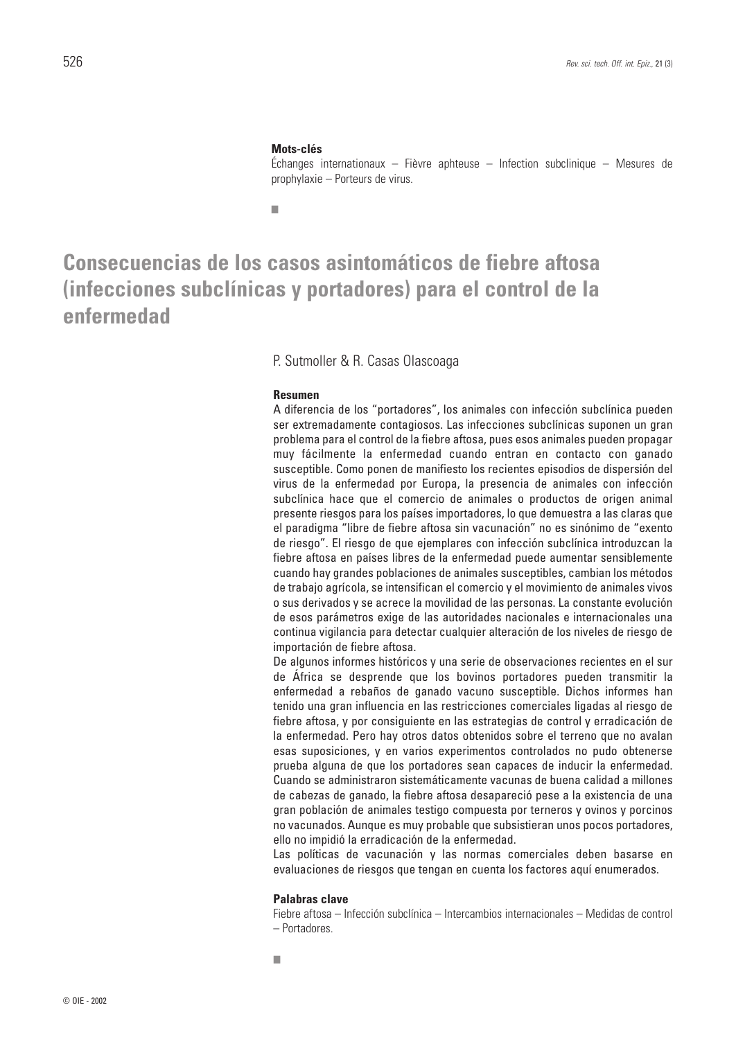#### **Mots-clés**

Échanges internationaux – Fièvre aphteuse – Infection subclinique – Mesures de prophylaxie – Porteurs de virus.

■

## **Consecuencias de los casos asintomáticos de fiebre aftosa (infecciones subclínicas y portadores) para el control de la enfermedad**

#### P. Sutmoller & R. Casas Olascoaga

#### **Resumen**

A diferencia de los "portadores", los animales con infección subclínica pueden ser extremadamente contagiosos. Las infecciones subclínicas suponen un gran problema para el control de la fiebre aftosa, pues esos animales pueden propagar muy fácilmente la enfermedad cuando entran en contacto con ganado susceptible. Como ponen de manifiesto los recientes episodios de dispersión del virus de la enfermedad por Europa, la presencia de animales con infección subclínica hace que el comercio de animales o productos de origen animal presente riesgos para los países importadores, lo que demuestra a las claras que el paradigma "libre de fiebre aftosa sin vacunación" no es sinónimo de "exento de riesgo". El riesgo de que ejemplares con infección subclínica introduzcan la fiebre aftosa en países libres de la enfermedad puede aumentar sensiblemente cuando hay grandes poblaciones de animales susceptibles, cambian los métodos de trabajo agrícola, se intensifican el comercio y el movimiento de animales vivos o sus derivados y se acrece la movilidad de las personas. La constante evolución de esos parámetros exige de las autoridades nacionales e internacionales una continua vigilancia para detectar cualquier alteración de los niveles de riesgo de importación de fiebre aftosa.

De algunos informes históricos y una serie de observaciones recientes en el sur de África se desprende que los bovinos portadores pueden transmitir la enfermedad a rebaños de ganado vacuno susceptible. Dichos informes han tenido una gran influencia en las restricciones comerciales ligadas al riesgo de fiebre aftosa, y por consiguiente en las estrategias de control y erradicación de la enfermedad. Pero hay otros datos obtenidos sobre el terreno que no avalan esas suposiciones, y en varios experimentos controlados no pudo obtenerse prueba alguna de que los portadores sean capaces de inducir la enfermedad. Cuando se administraron sistemáticamente vacunas de buena calidad a millones de cabezas de ganado, la fiebre aftosa desapareció pese a la existencia de una gran población de animales testigo compuesta por terneros y ovinos y porcinos no vacunados. Aunque es muy probable que subsistieran unos pocos portadores, ello no impidió la erradicación de la enfermedad.

Las políticas de vacunación y las normas comerciales deben basarse en evaluaciones de riesgos que tengan en cuenta los factores aquí enumerados.

#### **Palabras clave**

■

Fiebre aftosa – Infección subclínica – Intercambios internacionales – Medidas de control – Portadores.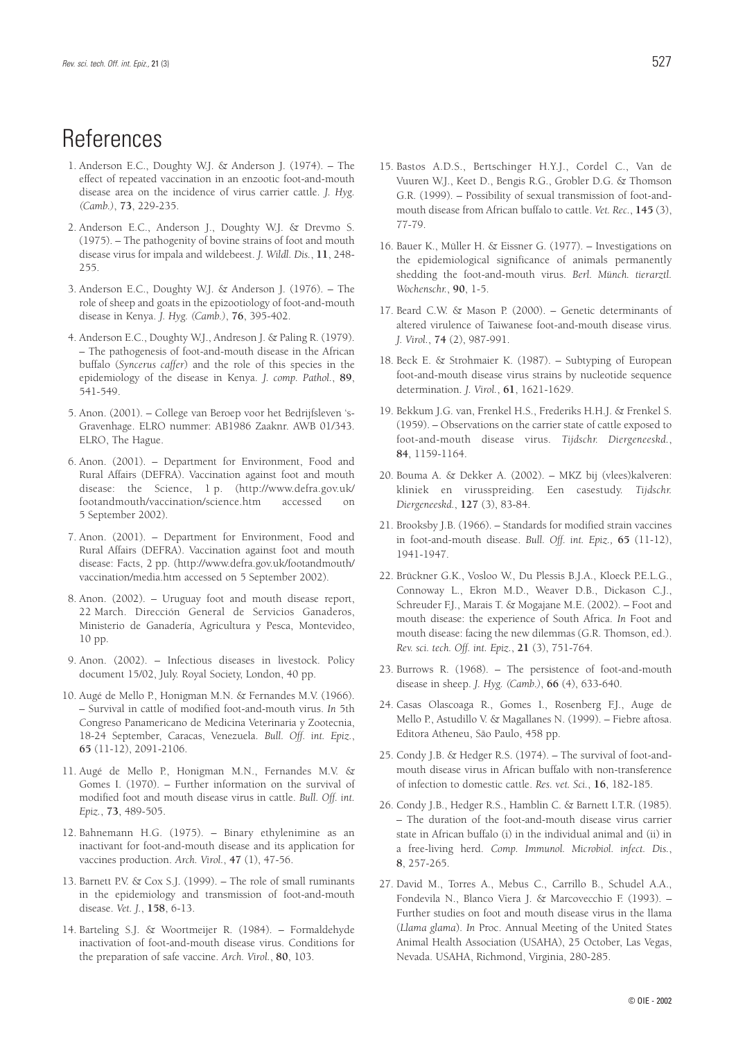## References

- 1. Anderson E.C., Doughty W.J. & Anderson J. (1974). The effect of repeated vaccination in an enzootic foot-and-mouth disease area on the incidence of virus carrier cattle. *J. Hyg. (Camb.)*, **73**, 229-235.
- 2. Anderson E.C., Anderson J., Doughty W.J. & Drevmo S. (1975). – The pathogenity of bovine strains of foot and mouth disease virus for impala and wildebeest. *J. Wildl. Dis.*, **11**, 248- 255.
- 3. Anderson E.C., Doughty W.J. & Anderson J. (1976). The role of sheep and goats in the epizootiology of foot-and-mouth disease in Kenya. *J. Hyg. (Camb.)*, **76**, 395-402.
- 4. Anderson E.C., Doughty W.J., Andreson J. & Paling R. (1979). – The pathogenesis of foot-and-mouth disease in the African buffalo (*Syncerus caffer*) and the role of this species in the epidemiology of the disease in Kenya. *J. comp. Pathol.*, **89**, 541-549.
- 5. Anon. (2001). College van Beroep voor het Bedrijfsleven 's-Gravenhage. ELRO nummer: AB1986 Zaaknr. AWB 01/343. ELRO, The Hague.
- 6. Anon. (2001). Department for Environment, Food and Rural Affairs (DEFRA). Vaccination against foot and mouth disease: the Science, 1 p. (http://www.defra.gov.uk/ footandmouth/vaccination/science.htm accessed on 5 September 2002).
- 7. Anon. (2001). Department for Environment, Food and Rural Affairs (DEFRA). Vaccination against foot and mouth disease: Facts, 2 pp. (http://www.defra.gov.uk/footandmouth/ vaccination/media.htm accessed on 5 September 2002).
- 8. Anon. (2002). Uruguay foot and mouth disease report, 22 March. Dirección General de Servicios Ganaderos, Ministerio de Ganadería, Agricultura y Pesca, Montevideo, 10 pp.
- 9. Anon. (2002). Infectious diseases in livestock. Policy document 15/02, July. Royal Society, London, 40 pp.
- 10. Augé de Mello P., Honigman M.N. & Fernandes M.V. (1966). – Survival in cattle of modified foot-and-mouth virus. *In* 5th Congreso Panamericano de Medicina Veterinaria y Zootecnia, 18-24 September, Caracas, Venezuela. *Bull. Off. int. Epiz.*, **65** (11-12), 2091-2106.
- 11. Augé de Mello P., Honigman M.N., Fernandes M.V. & Gomes I. (1970). – Further information on the survival of modified foot and mouth disease virus in cattle. *Bull. Off. int. Epiz.*, **73**, 489-505.
- 12. Bahnemann H.G. (1975). Binary ethylenimine as an inactivant for foot-and-mouth disease and its application for vaccines production. *Arch. Virol.*, **47** (1), 47-56.
- 13. Barnett P.V. & Cox S.J. (1999). The role of small ruminants in the epidemiology and transmission of foot-and-mouth disease. *Vet. J.*, **158**, 6-13.
- 14. Barteling S.J. & Woortmeijer R. (1984). Formaldehyde inactivation of foot-and-mouth disease virus. Conditions for the preparation of safe vaccine. *Arch. Virol.*, **80**, 103.
- 15. Bastos A.D.S., Bertschinger H.Y.J., Cordel C., Van de Vuuren W.J., Keet D., Bengis R.G., Grobler D.G. & Thomson G.R. (1999). – Possibility of sexual transmission of foot-andmouth disease from African buffalo to cattle. *Vet. Rec.*, **145** (3), 77-79.
- 16. Bauer K., Müller H. & Eissner G. (1977). Investigations on the epidemiological significance of animals permanently shedding the foot-and-mouth virus. *Berl. Münch. tierarztl. Wochenschr.*, **90**, 1-5.
- 17. Beard C.W. & Mason P. (2000). Genetic determinants of altered virulence of Taiwanese foot-and-mouth disease virus. *J. Virol.*, **74** (2), 987-991.
- 18. Beck E. & Strohmaier K. (1987). Subtyping of European foot-and-mouth disease virus strains by nucleotide sequence determination. *J. Virol.*, **61**, 1621-1629.
- 19. Bekkum J.G. van, Frenkel H.S., Frederiks H.H.J. & Frenkel S. (1959). – Observations on the carrier state of cattle exposed to foot-and-mouth disease virus. *Tijdschr. Diergeneeskd.*, **84**, 1159-1164.
- 20. Bouma A. & Dekker A. (2002). MKZ bij (vlees)kalveren: kliniek en virusspreiding. Een casestudy. *Tijdschr. Diergeneeskd.*, **127** (3), 83-84.
- 21. Brooksby J.B. (1966). Standards for modified strain vaccines in foot-and-mouth disease. *Bull. Off. int. Epiz.,* **65** (11-12), 1941-1947.
- 22. Brückner G.K., Vosloo W., Du Plessis B.J.A., Kloeck P.E.L.G., Connoway L., Ekron M.D., Weaver D.B., Dickason C.J., Schreuder F.J., Marais T. & Mogajane M.E. (2002). - Foot and mouth disease: the experience of South Africa. *In* Foot and mouth disease: facing the new dilemmas (G.R. Thomson, ed.). *Rev. sci. tech. Off. int. Epiz.*, **21** (3), 751-764.
- 23. Burrows R. (1968). The persistence of foot-and-mouth disease in sheep. *J. Hyg. (Camb.)*, **66** (4), 633-640.
- 24. Casas Olascoaga R., Gomes I., Rosenberg F.J., Auge de Mello P., Astudillo V. & Magallanes N. (1999). – Fiebre aftosa. Editora Atheneu, São Paulo, 458 pp.
- 25. Condy J.B. & Hedger R.S. (1974). The survival of foot-andmouth disease virus in African buffalo with non-transference of infection to domestic cattle. *Res. vet. Sci.*, **16**, 182-185.
- 26. Condy J.B., Hedger R.S., Hamblin C. & Barnett I.T.R. (1985). – The duration of the foot-and-mouth disease virus carrier state in African buffalo (i) in the individual animal and (ii) in a free-living herd. *Comp. Immunol. Microbiol. infect. Dis.*, **8**, 257-265.
- 27. David M., Torres A., Mebus C., Carrillo B., Schudel A.A., Fondevila N., Blanco Viera J. & Marcovecchio F. (1993). – Further studies on foot and mouth disease virus in the llama (*Llama glama*). *In* Proc. Annual Meeting of the United States Animal Health Association (USAHA), 25 October, Las Vegas, Nevada. USAHA, Richmond, Virginia, 280-285.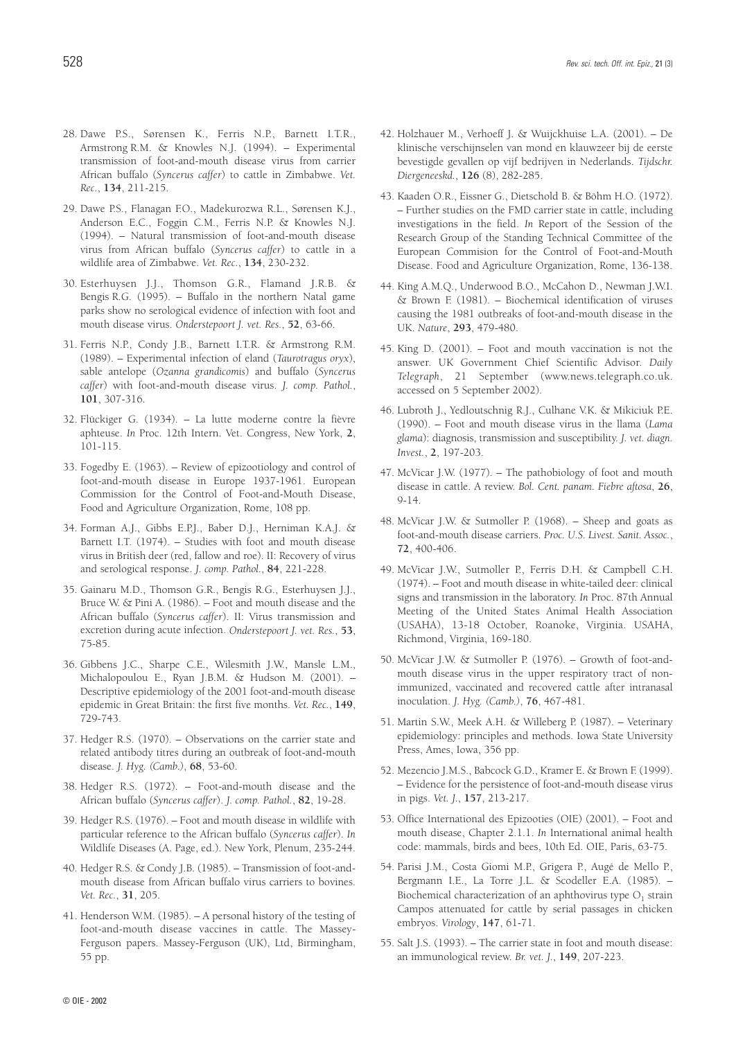- 28. Dawe P.S., Sørensen K., Ferris N.P., Barnett I.T.R., Armstrong R.M. & Knowles N.J. (1994). – Experimental transmission of foot-and-mouth disease virus from carrier African buffalo (*Syncerus caffer*) to cattle in Zimbabwe. *Vet. Rec.*, **134**, 211-215.
- 29. Dawe P.S., Flanagan F.O., Madekurozwa R.L., Sørensen K.J., Anderson E.C., Foggin C.M., Ferris N.P. & Knowles N.J. (1994). – Natural transmission of foot-and-mouth disease virus from African buffalo (*Syncerus caffer*) to cattle in a wildlife area of Zimbabwe. *Vet. Rec.*, **134**, 230-232.
- 30. Esterhuysen J.J., Thomson G.R., Flamand J.R.B. & Bengis R.G. (1995). – Buffalo in the northern Natal game parks show no serological evidence of infection with foot and mouth disease virus. *Onderstepoort J. vet. Res.*, **52**, 63-66.
- 31. Ferris N.P., Condy J.B., Barnett I.T.R. & Armstrong R.M. (1989). – Experimental infection of eland (*Taurotragus oryx*), sable antelope (*Ozanna grandicomis*) and buffalo (*Syncerus caffer*) with foot-and-mouth disease virus. *J. comp. Pathol.*, **101**, 307-316.
- 32. Flückiger G. (1934). La lutte moderne contre la fièvre aphteuse. *In* Proc. 12th Intern. Vet. Congress, New York, **2**, 101-115.
- 33. Fogedby E. (1963). Review of epizootiology and control of foot-and-mouth disease in Europe 1937-1961. European Commission for the Control of Foot-and-Mouth Disease, Food and Agriculture Organization, Rome, 108 pp.
- 34. Forman A.J., Gibbs E.P.J., Baber D.J., Herniman K.A.J. & Barnett I.T. (1974). – Studies with foot and mouth disease virus in British deer (red, fallow and roe). II: Recovery of virus and serological response. *J. comp. Pathol.*, **84**, 221-228.
- 35. Gainaru M.D., Thomson G.R., Bengis R.G., Esterhuysen J.J., Bruce W. & Pini A. (1986). – Foot and mouth disease and the African buffalo (*Syncerus caffer*). II: Virus transmission and excretion during acute infection. *Onderstepoort J. vet. Res.*, **53**, 75-85.
- 36. Gibbens J.C., Sharpe C.E., Wilesmith J.W., Mansle L.M., Michalopoulou E., Ryan J.B.M. & Hudson M. (2001). – Descriptive epidemiology of the 2001 foot-and-mouth disease epidemic in Great Britain: the first five months. *Vet. Rec.*, **149**, 729-743.
- 37. Hedger R.S. (1970). Observations on the carrier state and related antibody titres during an outbreak of foot-and-mouth disease. *J. Hyg. (Camb.)*, **68**, 53-60.
- 38. Hedger R.S. (1972). Foot-and-mouth disease and the African buffalo (*Syncerus caffer*). *J. comp. Pathol.*, **82**, 19-28.
- 39. Hedger R.S. (1976). Foot and mouth disease in wildlife with particular reference to the African buffalo (*Syncerus caffer*). *In* Wildlife Diseases (A. Page, ed.). New York, Plenum, 235-244.
- 40. Hedger R.S. & Condy J.B. (1985). Transmission of foot-andmouth disease from African buffalo virus carriers to bovines. *Vet. Rec.*, **31**, 205.
- 41. Henderson W.M. (1985). A personal history of the testing of foot-and-mouth disease vaccines in cattle. The Massey-Ferguson papers. Massey-Ferguson (UK), Ltd, Birmingham, 55 pp.
- 42. Holzhauer M., Verhoeff J. & Wuijckhuise L.A. (2001). De klinische verschijnselen van mond en klauwzeer bij de eerste bevestigde gevallen op vijf bedrijven in Nederlands. *Tijdschr. Diergeneeskd.*, **126** (8), 282-285.
- 43. Kaaden O.R., Eissner G., Dietschold B. & Böhm H.O. (1972). – Further studies on the FMD carrier state in cattle, including investigations in the field. *In* Report of the Session of the Research Group of the Standing Technical Committee of the European Commision for the Control of Foot-and-Mouth Disease. Food and Agriculture Organization, Rome, 136-138.
- 44. King A.M.Q., Underwood B.O., McCahon D., Newman J.W.I. & Brown F. (1981). – Biochemical identification of viruses causing the 1981 outbreaks of foot-and-mouth disease in the UK. *Nature*, **293**, 479-480.
- 45. King D. (2001). Foot and mouth vaccination is not the answer. UK Government Chief Scientific Advisor. *Daily Telegraph*, 21 September (www.news.telegraph.co.uk. accessed on 5 September 2002).
- 46. Lubroth J., Yedloutschnig R.J., Culhane V.K. & Mikiciuk P.E. (1990). – Foot and mouth disease virus in the llama (*Lama glama*): diagnosis, transmission and susceptibility. *J. vet. diagn. Invest.*, **2**, 197-203.
- 47. McVicar J.W. (1977). The pathobiology of foot and mouth disease in cattle. A review. *Bol. Cent. panam. Fiebre aftosa*, **26**, 9-14.
- 48. McVicar J.W. & Sutmoller P. (1968). Sheep and goats as foot-and-mouth disease carriers. *Proc. U.S. Livest. Sanit. Assoc.*, **72**, 400-406.
- 49. McVicar J.W., Sutmoller P., Ferris D.H. & Campbell C.H. (1974). – Foot and mouth disease in white-tailed deer: clinical signs and transmission in the laboratory. *In* Proc. 87th Annual Meeting of the United States Animal Health Association (USAHA), 13-18 October, Roanoke, Virginia. USAHA, Richmond, Virginia, 169-180.
- 50. McVicar J.W. & Sutmoller P. (1976). Growth of foot-andmouth disease virus in the upper respiratory tract of nonimmunized, vaccinated and recovered cattle after intranasal inoculation. *J. Hyg. (Camb.)*, **76**, 467-481.
- 51. Martin S.W., Meek A.H. & Willeberg P. (1987). Veterinary epidemiology: principles and methods. Iowa State University Press, Ames, Iowa, 356 pp.
- 52. Mezencio J.M.S., Babcock G.D., Kramer E. & Brown F. (1999). – Evidence for the persistence of foot-and-mouth disease virus in pigs. *Vet. J.*, **157**, 213-217.
- 53. Office International des Epizooties (OIE) (2001). Foot and mouth disease, Chapter 2.1.1. *In* International animal health code: mammals, birds and bees, 10th Ed. OIE, Paris, 63-75.
- 54. Parisi J.M., Costa Giomi M.P., Grigera P., Augé de Mello P., Bergmann I.E., La Torre J.L. & Scodeller E.A. (1985). – Biochemical characterization of an aphthovirus type  $O<sub>1</sub>$  strain Campos attenuated for cattle by serial passages in chicken embryos. *Virology*, **147**, 61-71.
- 55. Salt J.S. (1993). The carrier state in foot and mouth disease: an immunological review. *Br. vet. J.*, **149**, 207-223.